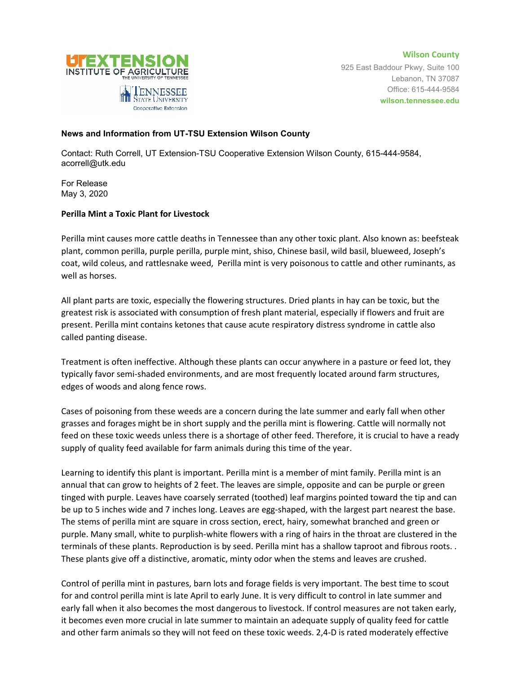

**Wilson County** 925 East Baddour Pkwy, Suite 100 Lebanon, TN 37087 Office: 615-444-9584 **wilson.tennessee.edu**

## **News and Information from UT-TSU Extension Wilson County**

Contact: Ruth Correll, UT Extension-TSU Cooperative Extension Wilson County, 615-444-9584, acorrell@utk.edu

For Release May 3, 2020

## **Perilla Mint a Toxic Plant for Livestock**

Perilla mint causes more cattle deaths in Tennessee than any other toxic plant. Also known as: beefsteak plant, common perilla, purple perilla, purple mint, shiso, Chinese basil, wild basil, blueweed, Joseph's coat, wild coleus, and rattlesnake weed, Perilla mint is very poisonous to cattle and other ruminants, as well as horses.

All plant parts are toxic, especially the flowering structures. Dried plants in hay can be toxic, but the greatest risk is associated with consumption of fresh plant material, especially if flowers and fruit are present. Perilla mint contains ketones that cause acute respiratory distress syndrome in cattle also called panting disease.

Treatment is often ineffective. Although these plants can occur anywhere in a pasture or feed lot, they typically favor semi-shaded environments, and are most frequently located around farm structures, edges of woods and along fence rows.

Cases of poisoning from these weeds are a concern during the late summer and early fall when other grasses and forages might be in short supply and the perilla mint is flowering. Cattle will normally not feed on these toxic weeds unless there is a shortage of other feed. Therefore, it is crucial to have a ready supply of quality feed available for farm animals during this time of the year.

Learning to identify this plant is important. Perilla mint is a member of mint family. Perilla mint is an annual that can grow to heights of 2 feet. The leaves are simple, opposite and can be purple or green tinged with purple. Leaves have coarsely serrated (toothed) leaf margins pointed toward the tip and can be up to 5 inches wide and 7 inches long. Leaves are egg-shaped, with the largest part nearest the base. The stems of perilla mint are square in cross section, erect, hairy, somewhat branched and green or purple. Many small, white to purplish-white flowers with a ring of hairs in the throat are clustered in the terminals of these plants. Reproduction is by seed. Perilla mint has a shallow taproot and fibrous roots. . These plants give off a distinctive, aromatic, minty odor when the stems and leaves are crushed.

Control of perilla mint in pastures, barn lots and forage fields is very important. The best time to scout for and control perilla mint is late April to early June. It is very difficult to control in late summer and early fall when it also becomes the most dangerous to livestock. If control measures are not taken early, it becomes even more crucial in late summer to maintain an adequate supply of quality feed for cattle and other farm animals so they will not feed on these toxic weeds. 2,4-D is rated moderately effective